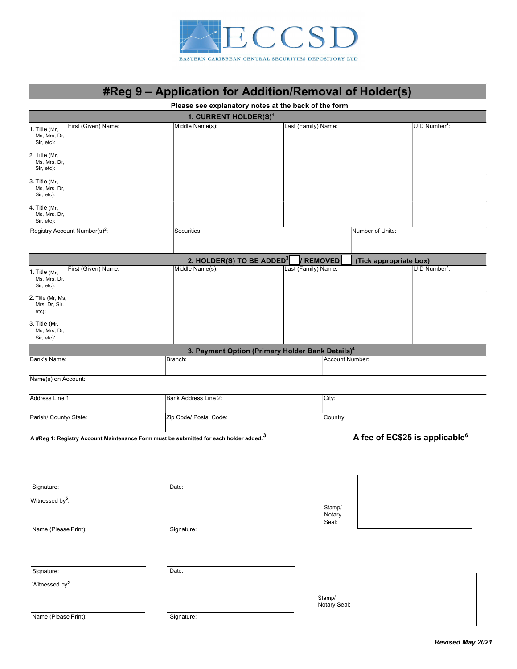

|                                                                    | #Reg 9 - Application for Addition/Removal of Holder(s)                                            |                                                              |                     |                                            |
|--------------------------------------------------------------------|---------------------------------------------------------------------------------------------------|--------------------------------------------------------------|---------------------|--------------------------------------------|
|                                                                    |                                                                                                   | Please see explanatory notes at the back of the form         |                     |                                            |
|                                                                    | 1. CURRENT HOLDER(S) <sup>1</sup>                                                                 |                                                              |                     | UID Number <sup>2</sup> :                  |
| First (Given) Name:<br>1. Title (Mr,<br>Ms, Mrs, Dr,<br>Sir, etc): | Middle Name(s):                                                                                   |                                                              | Last (Family) Name: |                                            |
| 2. Title (Mr,<br>Ms, Mrs, Dr,<br>Sir, etc):                        |                                                                                                   |                                                              |                     |                                            |
| 3. Title (Mr,<br>Ms, Mrs, Dr,<br>Sir, etc):                        |                                                                                                   |                                                              |                     |                                            |
| 4. Title (Mr,<br>Ms, Mrs, Dr,<br>Sir, etc):                        |                                                                                                   |                                                              |                     |                                            |
| Registry Account Number(s) <sup>2</sup> :                          | Securities:                                                                                       | Number of Units:                                             |                     |                                            |
|                                                                    | 2. HOLDER(S) TO BE ADDED <sup>3</sup>                                                             | / REMOVED                                                    |                     | (Tick appropriate box)                     |
| First (Given) Name:<br>1. Title (Mr,<br>Ms, Mrs, Dr,<br>Sir, etc): | Middle Name(s):                                                                                   | Last (Family) Name:                                          |                     | UID Number <sup>2</sup> :                  |
| 2. Title (Mr, Ms,<br>Mrs, Dr, Sir,<br>etc):                        |                                                                                                   |                                                              |                     |                                            |
| 3. Title (Mr,<br>Ms, Mrs, Dr,<br>Sir, etc):                        |                                                                                                   |                                                              |                     |                                            |
|                                                                    |                                                                                                   | 3. Payment Option (Primary Holder Bank Details) <sup>4</sup> |                     |                                            |
| Bank's Name:                                                       | Branch:                                                                                           |                                                              | Account Number:     |                                            |
| Name(s) on Account:                                                |                                                                                                   |                                                              |                     |                                            |
| Address Line 1:                                                    | Bank Address Line 2:                                                                              |                                                              | City:               |                                            |
| Parish/ County/ State:                                             | Zip Code/ Postal Code:                                                                            |                                                              | Country:            |                                            |
|                                                                    | A #Reg 1: Registry Account Maintenance Form must be submitted for each holder added. <sup>3</sup> |                                                              |                     | A fee of EC\$25 is applicable <sup>6</sup> |
|                                                                    |                                                                                                   |                                                              |                     |                                            |
| Signature:                                                         | Date:                                                                                             |                                                              |                     |                                            |
| Witnessed by <sup>5</sup> :                                        |                                                                                                   |                                                              | Stamp/<br>Notary    |                                            |
| Name (Please Print):                                               | Signature:                                                                                        | Seal:                                                        |                     |                                            |
|                                                                    |                                                                                                   |                                                              |                     |                                            |
| Signature:                                                         | Date:                                                                                             |                                                              |                     |                                            |
| Witnessed by <sup>5</sup>                                          |                                                                                                   | Stamp/                                                       |                     |                                            |
| Name (Please Print):                                               | Signature:                                                                                        |                                                              | Notary Seal:        |                                            |
|                                                                    |                                                                                                   |                                                              |                     |                                            |